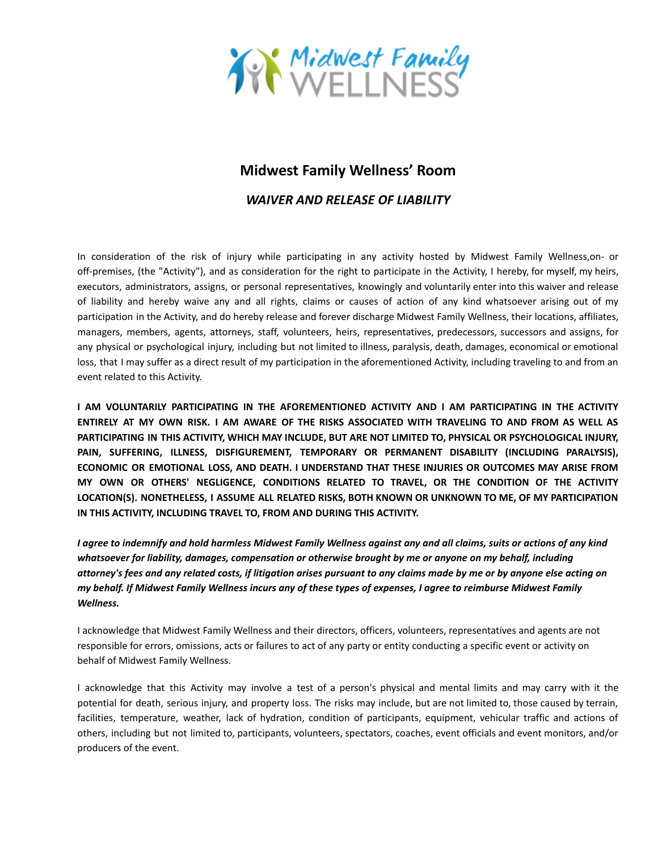

## **Midwest Family Wellness' Room**

## *WAIVER AND RELEASE OF LIABILITY*

In consideration of the risk of injury while participating in any activity hosted by Midwest Family Wellness,on- or off-premises, (the "Activity"), and as consideration for the right to participate in the Activity, I hereby, for myself, my heirs, executors, administrators, assigns, or personal representatives, knowingly and voluntarily enter into this waiver and release of liability and hereby waive any and all rights, claims or causes of action of any kind whatsoever arising out of my participation in the Activity, and do hereby release and forever discharge Midwest Family Wellness, their locations, affiliates, managers, members, agents, attorneys, staff, volunteers, heirs, representatives, predecessors, successors and assigns, for any physical or psychological injury, including but not limited to illness, paralysis, death, damages, economical or emotional loss, that I may suffer as a direct result of my participation in the aforementioned Activity, including traveling to and from an event related to this Activity.

**I AM VOLUNTARILY PARTICIPATING IN THE AFOREMENTIONED ACTIVITY AND I AM PARTICIPATING IN THE ACTIVITY ENTIRELY AT MY OWN RISK. I AM AWARE OF THE RISKS ASSOCIATED WITH TRAVELING TO AND FROM AS WELL AS PARTICIPATING IN THIS ACTIVITY, WHICH MAY INCLUDE, BUT ARE NOT LIMITED TO, PHYSICAL OR PSYCHOLOGICAL INJURY, PAIN, SUFFERING, ILLNESS, DISFIGUREMENT, TEMPORARY OR PERMANENT DISABILITY (INCLUDING PARALYSIS), ECONOMIC OR EMOTIONAL LOSS, AND DEATH. I UNDERSTAND THAT THESE INJURIES OR OUTCOMES MAY ARISE FROM MY OWN OR OTHERS' NEGLIGENCE, CONDITIONS RELATED TO TRAVEL, OR THE CONDITION OF THE ACTIVITY LOCATION(S). NONETHELESS, I ASSUME ALL RELATED RISKS, BOTH KNOWN OR UNKNOWN TO ME, OF MY PARTICIPATION IN THIS ACTIVITY, INCLUDING TRAVEL TO, FROM AND DURING THIS ACTIVITY.**

*I agree to indemnify and hold harmless Midwest Family Wellness against any and all claims, suits or actions of any kind whatsoever for liability, damages, compensation or otherwise brought by me or anyone on my behalf, including attorney's fees and any related costs, if litigation arises pursuant to any claims made by me or by anyone else acting on my behalf. If Midwest Family Wellness incurs any of these types of expenses, I agree to reimburse Midwest Family Wellness.*

I acknowledge that Midwest Family Wellness and their directors, officers, volunteers, representatives and agents are not responsible for errors, omissions, acts or failures to act of any party or entity conducting a specific event or activity on behalf of Midwest Family Wellness.

I acknowledge that this Activity may involve a test of a person's physical and mental limits and may carry with it the potential for death, serious injury, and property loss. The risks may include, but are not limited to, those caused by terrain, facilities, temperature, weather, lack of hydration, condition of participants, equipment, vehicular traffic and actions of others, including but not limited to, participants, volunteers, spectators, coaches, event officials and event monitors, and/or producers of the event.